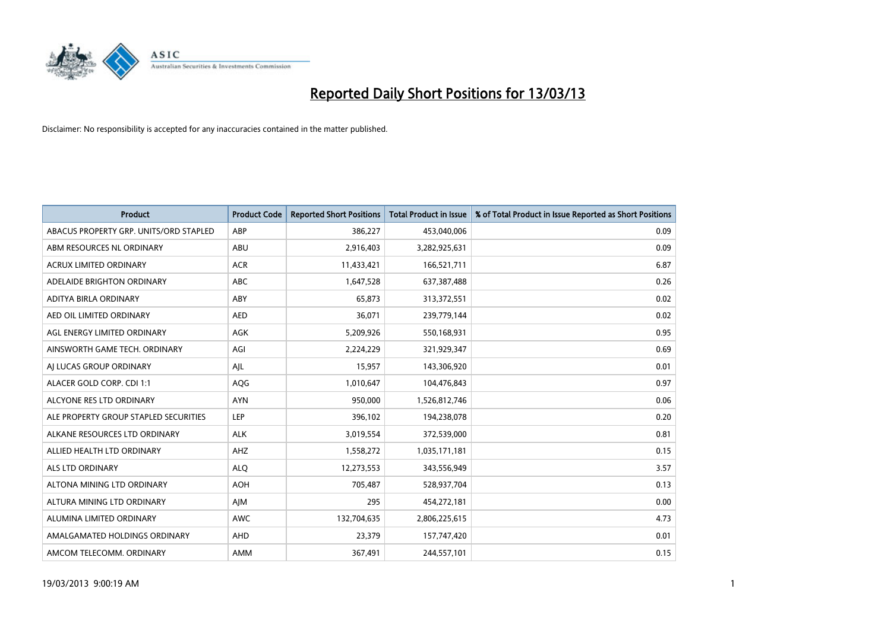

| <b>Product</b>                         | <b>Product Code</b> | <b>Reported Short Positions</b> | <b>Total Product in Issue</b> | % of Total Product in Issue Reported as Short Positions |
|----------------------------------------|---------------------|---------------------------------|-------------------------------|---------------------------------------------------------|
| ABACUS PROPERTY GRP. UNITS/ORD STAPLED | ABP                 | 386,227                         | 453,040,006                   | 0.09                                                    |
| ABM RESOURCES NL ORDINARY              | ABU                 | 2,916,403                       | 3,282,925,631                 | 0.09                                                    |
| <b>ACRUX LIMITED ORDINARY</b>          | <b>ACR</b>          | 11,433,421                      | 166,521,711                   | 6.87                                                    |
| ADELAIDE BRIGHTON ORDINARY             | <b>ABC</b>          | 1,647,528                       | 637,387,488                   | 0.26                                                    |
| ADITYA BIRLA ORDINARY                  | ABY                 | 65,873                          | 313,372,551                   | 0.02                                                    |
| AED OIL LIMITED ORDINARY               | <b>AED</b>          | 36,071                          | 239,779,144                   | 0.02                                                    |
| AGL ENERGY LIMITED ORDINARY            | AGK                 | 5,209,926                       | 550,168,931                   | 0.95                                                    |
| AINSWORTH GAME TECH. ORDINARY          | AGI                 | 2,224,229                       | 321,929,347                   | 0.69                                                    |
| AI LUCAS GROUP ORDINARY                | AJL                 | 15,957                          | 143,306,920                   | 0.01                                                    |
| ALACER GOLD CORP. CDI 1:1              | AQG                 | 1,010,647                       | 104,476,843                   | 0.97                                                    |
| ALCYONE RES LTD ORDINARY               | <b>AYN</b>          | 950,000                         | 1,526,812,746                 | 0.06                                                    |
| ALE PROPERTY GROUP STAPLED SECURITIES  | LEP                 | 396,102                         | 194,238,078                   | 0.20                                                    |
| ALKANE RESOURCES LTD ORDINARY          | <b>ALK</b>          | 3,019,554                       | 372,539,000                   | 0.81                                                    |
| ALLIED HEALTH LTD ORDINARY             | AHZ                 | 1,558,272                       | 1,035,171,181                 | 0.15                                                    |
| <b>ALS LTD ORDINARY</b>                | <b>ALQ</b>          | 12,273,553                      | 343,556,949                   | 3.57                                                    |
| ALTONA MINING LTD ORDINARY             | <b>AOH</b>          | 705,487                         | 528,937,704                   | 0.13                                                    |
| ALTURA MINING LTD ORDINARY             | AJM                 | 295                             | 454,272,181                   | 0.00                                                    |
| ALUMINA LIMITED ORDINARY               | <b>AWC</b>          | 132,704,635                     | 2,806,225,615                 | 4.73                                                    |
| AMALGAMATED HOLDINGS ORDINARY          | <b>AHD</b>          | 23,379                          | 157,747,420                   | 0.01                                                    |
| AMCOM TELECOMM. ORDINARY               | <b>AMM</b>          | 367,491                         | 244,557,101                   | 0.15                                                    |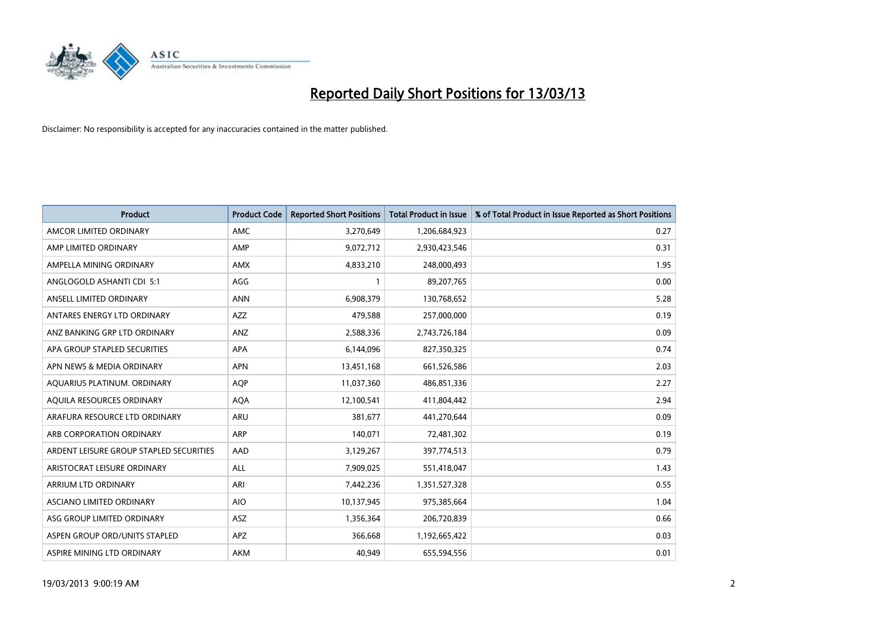

| <b>Product</b>                          | <b>Product Code</b> | <b>Reported Short Positions</b> | <b>Total Product in Issue</b> | % of Total Product in Issue Reported as Short Positions |
|-----------------------------------------|---------------------|---------------------------------|-------------------------------|---------------------------------------------------------|
| AMCOR LIMITED ORDINARY                  | <b>AMC</b>          | 3,270,649                       | 1,206,684,923                 | 0.27                                                    |
| AMP LIMITED ORDINARY                    | AMP                 | 9,072,712                       | 2,930,423,546                 | 0.31                                                    |
| AMPELLA MINING ORDINARY                 | <b>AMX</b>          | 4,833,210                       | 248,000,493                   | 1.95                                                    |
| ANGLOGOLD ASHANTI CDI 5:1               | AGG                 | 1                               | 89,207,765                    | 0.00                                                    |
| ANSELL LIMITED ORDINARY                 | <b>ANN</b>          | 6,908,379                       | 130,768,652                   | 5.28                                                    |
| ANTARES ENERGY LTD ORDINARY             | <b>AZZ</b>          | 479,588                         | 257,000,000                   | 0.19                                                    |
| ANZ BANKING GRP LTD ORDINARY            | <b>ANZ</b>          | 2,588,336                       | 2,743,726,184                 | 0.09                                                    |
| APA GROUP STAPLED SECURITIES            | <b>APA</b>          | 6,144,096                       | 827,350,325                   | 0.74                                                    |
| APN NEWS & MEDIA ORDINARY               | <b>APN</b>          | 13,451,168                      | 661,526,586                   | 2.03                                                    |
| AQUARIUS PLATINUM. ORDINARY             | <b>AOP</b>          | 11,037,360                      | 486,851,336                   | 2.27                                                    |
| AQUILA RESOURCES ORDINARY               | <b>AQA</b>          | 12,100,541                      | 411,804,442                   | 2.94                                                    |
| ARAFURA RESOURCE LTD ORDINARY           | <b>ARU</b>          | 381,677                         | 441,270,644                   | 0.09                                                    |
| ARB CORPORATION ORDINARY                | <b>ARP</b>          | 140,071                         | 72,481,302                    | 0.19                                                    |
| ARDENT LEISURE GROUP STAPLED SECURITIES | AAD                 | 3,129,267                       | 397,774,513                   | 0.79                                                    |
| ARISTOCRAT LEISURE ORDINARY             | <b>ALL</b>          | 7,909,025                       | 551,418,047                   | 1.43                                                    |
| ARRIUM LTD ORDINARY                     | ARI                 | 7,442,236                       | 1,351,527,328                 | 0.55                                                    |
| ASCIANO LIMITED ORDINARY                | <b>AIO</b>          | 10,137,945                      | 975,385,664                   | 1.04                                                    |
| ASG GROUP LIMITED ORDINARY              | <b>ASZ</b>          | 1,356,364                       | 206,720,839                   | 0.66                                                    |
| ASPEN GROUP ORD/UNITS STAPLED           | <b>APZ</b>          | 366,668                         | 1,192,665,422                 | 0.03                                                    |
| ASPIRE MINING LTD ORDINARY              | <b>AKM</b>          | 40,949                          | 655,594,556                   | 0.01                                                    |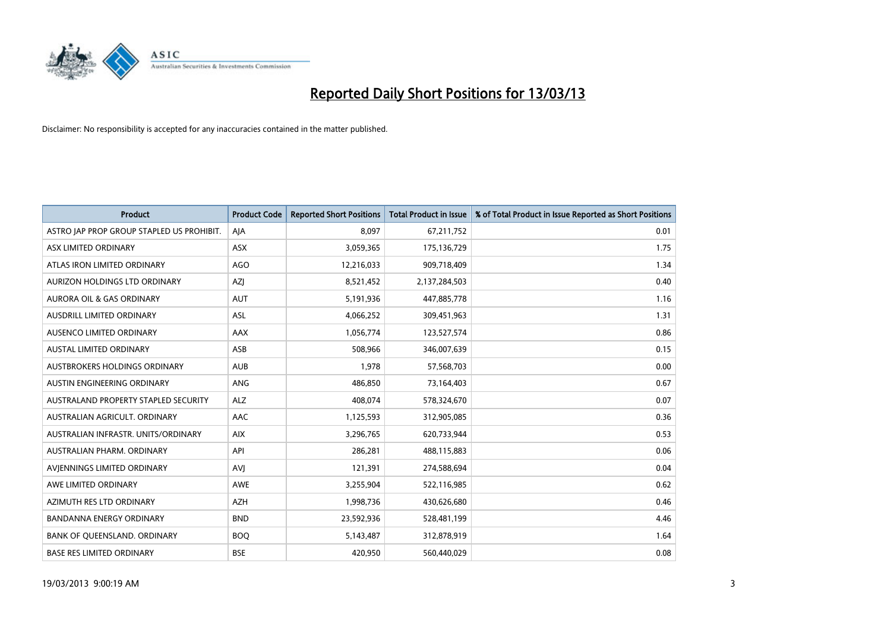

| <b>Product</b>                            | <b>Product Code</b> | <b>Reported Short Positions</b> | <b>Total Product in Issue</b> | % of Total Product in Issue Reported as Short Positions |
|-------------------------------------------|---------------------|---------------------------------|-------------------------------|---------------------------------------------------------|
| ASTRO JAP PROP GROUP STAPLED US PROHIBIT. | AJA                 | 8.097                           | 67,211,752                    | 0.01                                                    |
| ASX LIMITED ORDINARY                      | <b>ASX</b>          | 3,059,365                       | 175,136,729                   | 1.75                                                    |
| ATLAS IRON LIMITED ORDINARY               | <b>AGO</b>          | 12,216,033                      | 909,718,409                   | 1.34                                                    |
| AURIZON HOLDINGS LTD ORDINARY             | AZJ                 | 8,521,452                       | 2,137,284,503                 | 0.40                                                    |
| <b>AURORA OIL &amp; GAS ORDINARY</b>      | <b>AUT</b>          | 5,191,936                       | 447,885,778                   | 1.16                                                    |
| AUSDRILL LIMITED ORDINARY                 | <b>ASL</b>          | 4,066,252                       | 309,451,963                   | 1.31                                                    |
| AUSENCO LIMITED ORDINARY                  | AAX                 | 1,056,774                       | 123,527,574                   | 0.86                                                    |
| AUSTAL LIMITED ORDINARY                   | ASB                 | 508,966                         | 346,007,639                   | 0.15                                                    |
| AUSTBROKERS HOLDINGS ORDINARY             | <b>AUB</b>          | 1,978                           | 57,568,703                    | 0.00                                                    |
| AUSTIN ENGINEERING ORDINARY               | ANG                 | 486,850                         | 73,164,403                    | 0.67                                                    |
| AUSTRALAND PROPERTY STAPLED SECURITY      | <b>ALZ</b>          | 408,074                         | 578,324,670                   | 0.07                                                    |
| AUSTRALIAN AGRICULT, ORDINARY             | AAC                 | 1,125,593                       | 312,905,085                   | 0.36                                                    |
| AUSTRALIAN INFRASTR. UNITS/ORDINARY       | <b>AIX</b>          | 3,296,765                       | 620,733,944                   | 0.53                                                    |
| AUSTRALIAN PHARM. ORDINARY                | API                 | 286,281                         | 488,115,883                   | 0.06                                                    |
| AVIENNINGS LIMITED ORDINARY               | AVI                 | 121,391                         | 274,588,694                   | 0.04                                                    |
| AWE LIMITED ORDINARY                      | <b>AWE</b>          | 3,255,904                       | 522,116,985                   | 0.62                                                    |
| AZIMUTH RES LTD ORDINARY                  | <b>AZH</b>          | 1,998,736                       | 430,626,680                   | 0.46                                                    |
| BANDANNA ENERGY ORDINARY                  | <b>BND</b>          | 23,592,936                      | 528,481,199                   | 4.46                                                    |
| BANK OF QUEENSLAND. ORDINARY              | <b>BOQ</b>          | 5,143,487                       | 312,878,919                   | 1.64                                                    |
| <b>BASE RES LIMITED ORDINARY</b>          | <b>BSE</b>          | 420,950                         | 560,440,029                   | 0.08                                                    |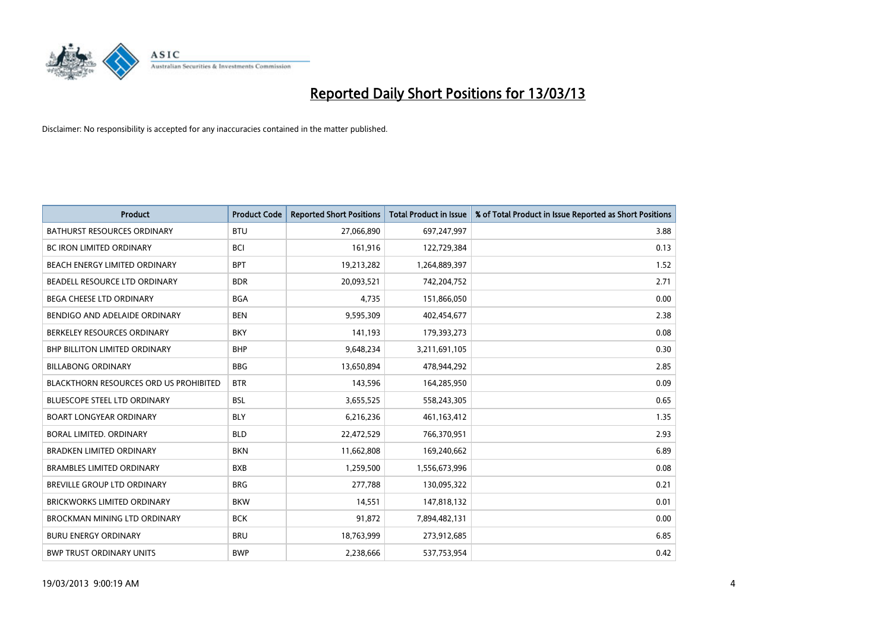

| <b>Product</b>                         | <b>Product Code</b> | <b>Reported Short Positions</b> | <b>Total Product in Issue</b> | % of Total Product in Issue Reported as Short Positions |
|----------------------------------------|---------------------|---------------------------------|-------------------------------|---------------------------------------------------------|
| <b>BATHURST RESOURCES ORDINARY</b>     | <b>BTU</b>          | 27,066,890                      | 697,247,997                   | 3.88                                                    |
| BC IRON LIMITED ORDINARY               | <b>BCI</b>          | 161,916                         | 122,729,384                   | 0.13                                                    |
| <b>BEACH ENERGY LIMITED ORDINARY</b>   | <b>BPT</b>          | 19,213,282                      | 1,264,889,397                 | 1.52                                                    |
| BEADELL RESOURCE LTD ORDINARY          | <b>BDR</b>          | 20,093,521                      | 742,204,752                   | 2.71                                                    |
| BEGA CHEESE LTD ORDINARY               | <b>BGA</b>          | 4,735                           | 151,866,050                   | 0.00                                                    |
| BENDIGO AND ADELAIDE ORDINARY          | <b>BEN</b>          | 9,595,309                       | 402,454,677                   | 2.38                                                    |
| BERKELEY RESOURCES ORDINARY            | <b>BKY</b>          | 141.193                         | 179,393,273                   | 0.08                                                    |
| <b>BHP BILLITON LIMITED ORDINARY</b>   | <b>BHP</b>          | 9,648,234                       | 3,211,691,105                 | 0.30                                                    |
| <b>BILLABONG ORDINARY</b>              | <b>BBG</b>          | 13,650,894                      | 478,944,292                   | 2.85                                                    |
| BLACKTHORN RESOURCES ORD US PROHIBITED | <b>BTR</b>          | 143,596                         | 164,285,950                   | 0.09                                                    |
| <b>BLUESCOPE STEEL LTD ORDINARY</b>    | <b>BSL</b>          | 3,655,525                       | 558,243,305                   | 0.65                                                    |
| <b>BOART LONGYEAR ORDINARY</b>         | <b>BLY</b>          | 6,216,236                       | 461,163,412                   | 1.35                                                    |
| BORAL LIMITED, ORDINARY                | <b>BLD</b>          | 22,472,529                      | 766,370,951                   | 2.93                                                    |
| <b>BRADKEN LIMITED ORDINARY</b>        | <b>BKN</b>          | 11,662,808                      | 169,240,662                   | 6.89                                                    |
| <b>BRAMBLES LIMITED ORDINARY</b>       | <b>BXB</b>          | 1,259,500                       | 1,556,673,996                 | 0.08                                                    |
| BREVILLE GROUP LTD ORDINARY            | <b>BRG</b>          | 277,788                         | 130,095,322                   | 0.21                                                    |
| <b>BRICKWORKS LIMITED ORDINARY</b>     | <b>BKW</b>          | 14,551                          | 147,818,132                   | 0.01                                                    |
| BROCKMAN MINING LTD ORDINARY           | <b>BCK</b>          | 91,872                          | 7,894,482,131                 | 0.00                                                    |
| <b>BURU ENERGY ORDINARY</b>            | <b>BRU</b>          | 18,763,999                      | 273,912,685                   | 6.85                                                    |
| <b>BWP TRUST ORDINARY UNITS</b>        | <b>BWP</b>          | 2.238.666                       | 537,753,954                   | 0.42                                                    |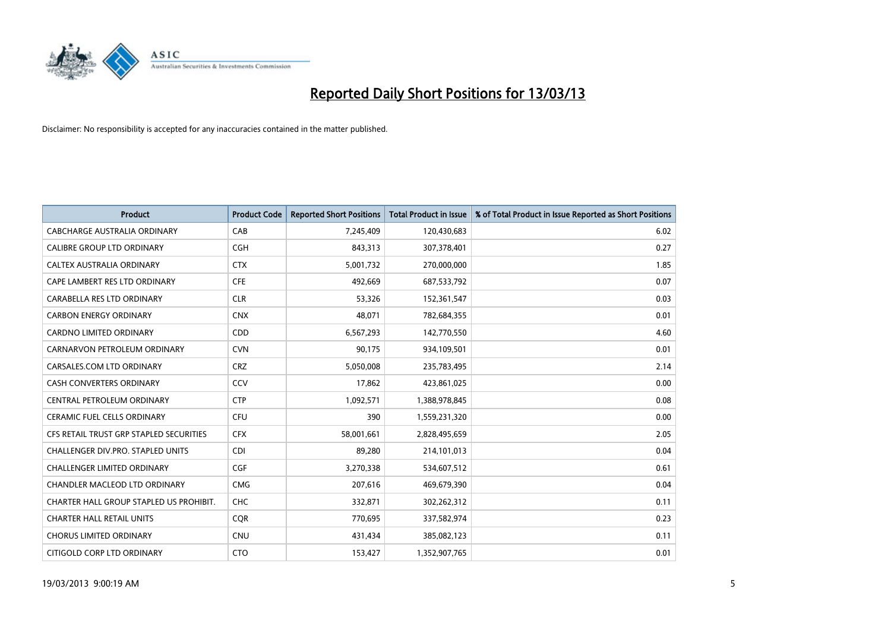

| <b>Product</b>                          | <b>Product Code</b> | <b>Reported Short Positions</b> | <b>Total Product in Issue</b> | % of Total Product in Issue Reported as Short Positions |
|-----------------------------------------|---------------------|---------------------------------|-------------------------------|---------------------------------------------------------|
| CABCHARGE AUSTRALIA ORDINARY            | CAB                 | 7,245,409                       | 120,430,683                   | 6.02                                                    |
| CALIBRE GROUP LTD ORDINARY              | <b>CGH</b>          | 843,313                         | 307,378,401                   | 0.27                                                    |
| <b>CALTEX AUSTRALIA ORDINARY</b>        | <b>CTX</b>          | 5,001,732                       | 270,000,000                   | 1.85                                                    |
| CAPE LAMBERT RES LTD ORDINARY           | <b>CFE</b>          | 492,669                         | 687,533,792                   | 0.07                                                    |
| CARABELLA RES LTD ORDINARY              | <b>CLR</b>          | 53,326                          | 152,361,547                   | 0.03                                                    |
| <b>CARBON ENERGY ORDINARY</b>           | <b>CNX</b>          | 48,071                          | 782,684,355                   | 0.01                                                    |
| <b>CARDNO LIMITED ORDINARY</b>          | <b>CDD</b>          | 6,567,293                       | 142,770,550                   | 4.60                                                    |
| CARNARVON PETROLEUM ORDINARY            | <b>CVN</b>          | 90,175                          | 934,109,501                   | 0.01                                                    |
| CARSALES.COM LTD ORDINARY               | <b>CRZ</b>          | 5,050,008                       | 235,783,495                   | 2.14                                                    |
| <b>CASH CONVERTERS ORDINARY</b>         | CCV                 | 17,862                          | 423,861,025                   | 0.00                                                    |
| CENTRAL PETROLEUM ORDINARY              | <b>CTP</b>          | 1,092,571                       | 1,388,978,845                 | 0.08                                                    |
| <b>CERAMIC FUEL CELLS ORDINARY</b>      | CFU                 | 390                             | 1,559,231,320                 | 0.00                                                    |
| CFS RETAIL TRUST GRP STAPLED SECURITIES | <b>CFX</b>          | 58,001,661                      | 2,828,495,659                 | 2.05                                                    |
| CHALLENGER DIV.PRO. STAPLED UNITS       | <b>CDI</b>          | 89,280                          | 214,101,013                   | 0.04                                                    |
| <b>CHALLENGER LIMITED ORDINARY</b>      | <b>CGF</b>          | 3,270,338                       | 534,607,512                   | 0.61                                                    |
| CHANDLER MACLEOD LTD ORDINARY           | <b>CMG</b>          | 207,616                         | 469,679,390                   | 0.04                                                    |
| CHARTER HALL GROUP STAPLED US PROHIBIT. | <b>CHC</b>          | 332,871                         | 302,262,312                   | 0.11                                                    |
| <b>CHARTER HALL RETAIL UNITS</b>        | <b>CQR</b>          | 770,695                         | 337,582,974                   | 0.23                                                    |
| <b>CHORUS LIMITED ORDINARY</b>          | <b>CNU</b>          | 431,434                         | 385,082,123                   | 0.11                                                    |
| CITIGOLD CORP LTD ORDINARY              | <b>CTO</b>          | 153,427                         | 1,352,907,765                 | 0.01                                                    |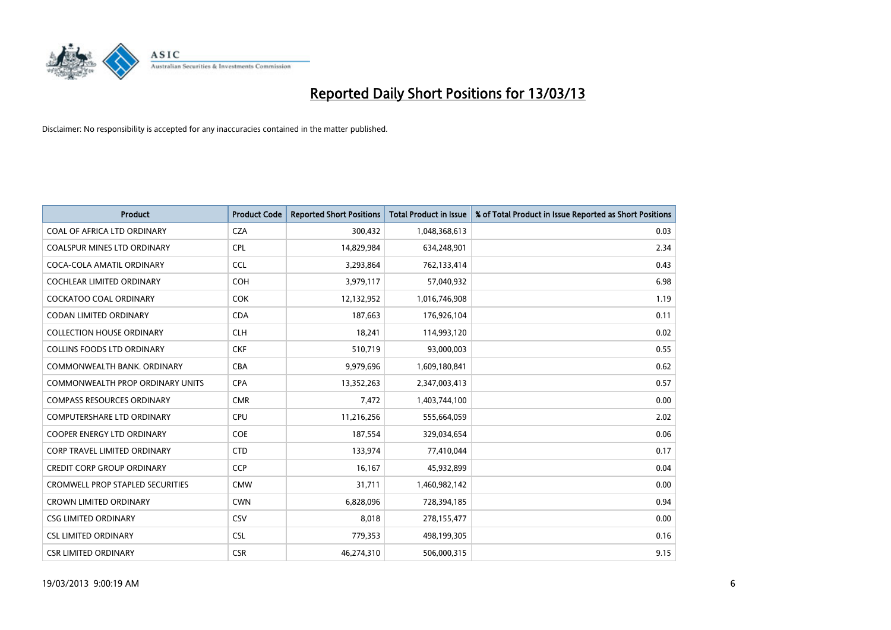

| <b>Product</b>                          | <b>Product Code</b> | <b>Reported Short Positions</b> | <b>Total Product in Issue</b> | % of Total Product in Issue Reported as Short Positions |
|-----------------------------------------|---------------------|---------------------------------|-------------------------------|---------------------------------------------------------|
| COAL OF AFRICA LTD ORDINARY             | <b>CZA</b>          | 300,432                         | 1,048,368,613                 | 0.03                                                    |
| COALSPUR MINES LTD ORDINARY             | <b>CPL</b>          | 14,829,984                      | 634,248,901                   | 2.34                                                    |
| COCA-COLA AMATIL ORDINARY               | <b>CCL</b>          | 3,293,864                       | 762,133,414                   | 0.43                                                    |
| COCHLEAR LIMITED ORDINARY               | <b>COH</b>          | 3,979,117                       | 57,040,932                    | 6.98                                                    |
| <b>COCKATOO COAL ORDINARY</b>           | <b>COK</b>          | 12,132,952                      | 1,016,746,908                 | 1.19                                                    |
| <b>CODAN LIMITED ORDINARY</b>           | <b>CDA</b>          | 187,663                         | 176,926,104                   | 0.11                                                    |
| <b>COLLECTION HOUSE ORDINARY</b>        | <b>CLH</b>          | 18,241                          | 114,993,120                   | 0.02                                                    |
| <b>COLLINS FOODS LTD ORDINARY</b>       | <b>CKF</b>          | 510,719                         | 93,000,003                    | 0.55                                                    |
| COMMONWEALTH BANK, ORDINARY             | <b>CBA</b>          | 9,979,696                       | 1,609,180,841                 | 0.62                                                    |
| <b>COMMONWEALTH PROP ORDINARY UNITS</b> | <b>CPA</b>          | 13,352,263                      | 2,347,003,413                 | 0.57                                                    |
| <b>COMPASS RESOURCES ORDINARY</b>       | <b>CMR</b>          | 7,472                           | 1,403,744,100                 | 0.00                                                    |
| <b>COMPUTERSHARE LTD ORDINARY</b>       | CPU                 | 11,216,256                      | 555,664,059                   | 2.02                                                    |
| COOPER ENERGY LTD ORDINARY              | <b>COE</b>          | 187,554                         | 329,034,654                   | 0.06                                                    |
| <b>CORP TRAVEL LIMITED ORDINARY</b>     | <b>CTD</b>          | 133,974                         | 77,410,044                    | 0.17                                                    |
| <b>CREDIT CORP GROUP ORDINARY</b>       | <b>CCP</b>          | 16,167                          | 45,932,899                    | 0.04                                                    |
| <b>CROMWELL PROP STAPLED SECURITIES</b> | <b>CMW</b>          | 31,711                          | 1,460,982,142                 | 0.00                                                    |
| <b>CROWN LIMITED ORDINARY</b>           | <b>CWN</b>          | 6,828,096                       | 728,394,185                   | 0.94                                                    |
| <b>CSG LIMITED ORDINARY</b>             | CSV                 | 8,018                           | 278,155,477                   | 0.00                                                    |
| <b>CSL LIMITED ORDINARY</b>             | <b>CSL</b>          | 779,353                         | 498,199,305                   | 0.16                                                    |
| <b>CSR LIMITED ORDINARY</b>             | <b>CSR</b>          | 46,274,310                      | 506,000,315                   | 9.15                                                    |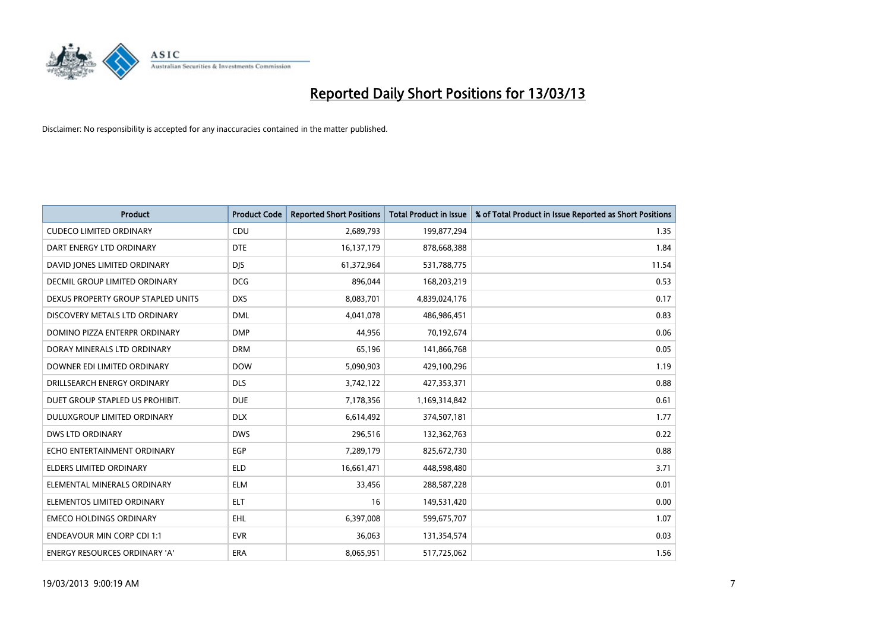

| <b>Product</b>                     | <b>Product Code</b> | <b>Reported Short Positions</b> | <b>Total Product in Issue</b> | % of Total Product in Issue Reported as Short Positions |
|------------------------------------|---------------------|---------------------------------|-------------------------------|---------------------------------------------------------|
| <b>CUDECO LIMITED ORDINARY</b>     | CDU                 | 2,689,793                       | 199,877,294                   | 1.35                                                    |
| DART ENERGY LTD ORDINARY           | <b>DTE</b>          | 16,137,179                      | 878,668,388                   | 1.84                                                    |
| DAVID JONES LIMITED ORDINARY       | <b>DJS</b>          | 61,372,964                      | 531,788,775                   | 11.54                                                   |
| DECMIL GROUP LIMITED ORDINARY      | <b>DCG</b>          | 896,044                         | 168,203,219                   | 0.53                                                    |
| DEXUS PROPERTY GROUP STAPLED UNITS | <b>DXS</b>          | 8,083,701                       | 4,839,024,176                 | 0.17                                                    |
| DISCOVERY METALS LTD ORDINARY      | <b>DML</b>          | 4,041,078                       | 486,986,451                   | 0.83                                                    |
| DOMINO PIZZA ENTERPR ORDINARY      | <b>DMP</b>          | 44,956                          | 70,192,674                    | 0.06                                                    |
| DORAY MINERALS LTD ORDINARY        | <b>DRM</b>          | 65,196                          | 141,866,768                   | 0.05                                                    |
| DOWNER EDI LIMITED ORDINARY        | <b>DOW</b>          | 5,090,903                       | 429,100,296                   | 1.19                                                    |
| DRILLSEARCH ENERGY ORDINARY        | <b>DLS</b>          | 3,742,122                       | 427,353,371                   | 0.88                                                    |
| DUET GROUP STAPLED US PROHIBIT.    | <b>DUE</b>          | 7,178,356                       | 1,169,314,842                 | 0.61                                                    |
| <b>DULUXGROUP LIMITED ORDINARY</b> | <b>DLX</b>          | 6,614,492                       | 374,507,181                   | 1.77                                                    |
| <b>DWS LTD ORDINARY</b>            | <b>DWS</b>          | 296,516                         | 132,362,763                   | 0.22                                                    |
| ECHO ENTERTAINMENT ORDINARY        | <b>EGP</b>          | 7,289,179                       | 825,672,730                   | 0.88                                                    |
| <b>ELDERS LIMITED ORDINARY</b>     | <b>ELD</b>          | 16,661,471                      | 448,598,480                   | 3.71                                                    |
| ELEMENTAL MINERALS ORDINARY        | <b>ELM</b>          | 33,456                          | 288,587,228                   | 0.01                                                    |
| ELEMENTOS LIMITED ORDINARY         | <b>ELT</b>          | 16                              | 149,531,420                   | 0.00                                                    |
| <b>EMECO HOLDINGS ORDINARY</b>     | <b>EHL</b>          | 6,397,008                       | 599,675,707                   | 1.07                                                    |
| <b>ENDEAVOUR MIN CORP CDI 1:1</b>  | <b>EVR</b>          | 36,063                          | 131,354,574                   | 0.03                                                    |
| ENERGY RESOURCES ORDINARY 'A'      | ERA                 | 8,065,951                       | 517,725,062                   | 1.56                                                    |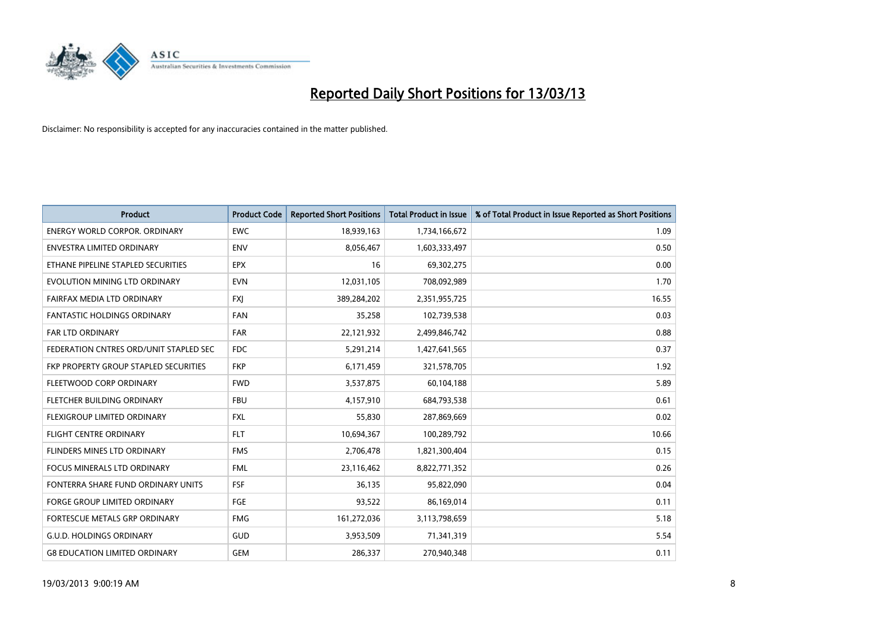

| <b>Product</b>                         | <b>Product Code</b> | <b>Reported Short Positions</b> | Total Product in Issue | % of Total Product in Issue Reported as Short Positions |
|----------------------------------------|---------------------|---------------------------------|------------------------|---------------------------------------------------------|
| <b>ENERGY WORLD CORPOR, ORDINARY</b>   | <b>EWC</b>          | 18,939,163                      | 1,734,166,672          | 1.09                                                    |
| ENVESTRA LIMITED ORDINARY              | <b>ENV</b>          | 8,056,467                       | 1,603,333,497          | 0.50                                                    |
| ETHANE PIPELINE STAPLED SECURITIES     | <b>EPX</b>          | 16                              | 69,302,275             | 0.00                                                    |
| EVOLUTION MINING LTD ORDINARY          | <b>EVN</b>          | 12,031,105                      | 708,092,989            | 1.70                                                    |
| <b>FAIRFAX MEDIA LTD ORDINARY</b>      | <b>FXI</b>          | 389,284,202                     | 2,351,955,725          | 16.55                                                   |
| <b>FANTASTIC HOLDINGS ORDINARY</b>     | <b>FAN</b>          | 35,258                          | 102,739,538            | 0.03                                                    |
| <b>FAR LTD ORDINARY</b>                | <b>FAR</b>          | 22,121,932                      | 2,499,846,742          | 0.88                                                    |
| FEDERATION CNTRES ORD/UNIT STAPLED SEC | <b>FDC</b>          | 5,291,214                       | 1,427,641,565          | 0.37                                                    |
| FKP PROPERTY GROUP STAPLED SECURITIES  | <b>FKP</b>          | 6,171,459                       | 321,578,705            | 1.92                                                    |
| FLEETWOOD CORP ORDINARY                | <b>FWD</b>          | 3,537,875                       | 60,104,188             | 5.89                                                    |
| FLETCHER BUILDING ORDINARY             | <b>FBU</b>          | 4,157,910                       | 684,793,538            | 0.61                                                    |
| <b>FLEXIGROUP LIMITED ORDINARY</b>     | <b>FXL</b>          | 55,830                          | 287,869,669            | 0.02                                                    |
| FLIGHT CENTRE ORDINARY                 | <b>FLT</b>          | 10,694,367                      | 100,289,792            | 10.66                                                   |
| FLINDERS MINES LTD ORDINARY            | <b>FMS</b>          | 2,706,478                       | 1,821,300,404          | 0.15                                                    |
| <b>FOCUS MINERALS LTD ORDINARY</b>     | <b>FML</b>          | 23,116,462                      | 8,822,771,352          | 0.26                                                    |
| FONTERRA SHARE FUND ORDINARY UNITS     | <b>FSF</b>          | 36,135                          | 95,822,090             | 0.04                                                    |
| FORGE GROUP LIMITED ORDINARY           | FGE                 | 93,522                          | 86,169,014             | 0.11                                                    |
| FORTESCUE METALS GRP ORDINARY          | <b>FMG</b>          | 161,272,036                     | 3,113,798,659          | 5.18                                                    |
| <b>G.U.D. HOLDINGS ORDINARY</b>        | <b>GUD</b>          | 3,953,509                       | 71,341,319             | 5.54                                                    |
| <b>G8 EDUCATION LIMITED ORDINARY</b>   | <b>GEM</b>          | 286,337                         | 270,940,348            | 0.11                                                    |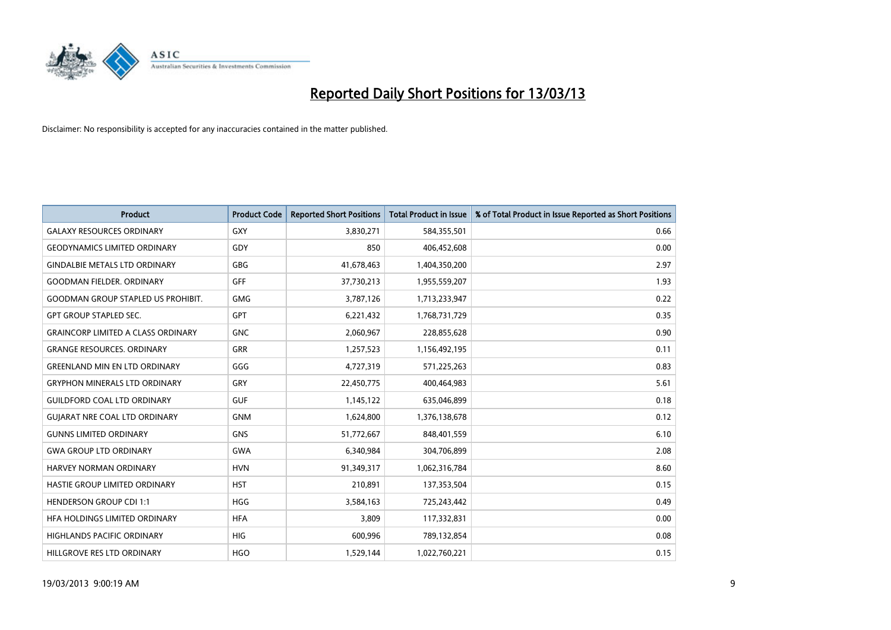

| <b>Product</b>                            | <b>Product Code</b> | <b>Reported Short Positions</b> | <b>Total Product in Issue</b> | % of Total Product in Issue Reported as Short Positions |
|-------------------------------------------|---------------------|---------------------------------|-------------------------------|---------------------------------------------------------|
| <b>GALAXY RESOURCES ORDINARY</b>          | <b>GXY</b>          | 3,830,271                       | 584,355,501                   | 0.66                                                    |
| <b>GEODYNAMICS LIMITED ORDINARY</b>       | GDY                 | 850                             | 406,452,608                   | 0.00                                                    |
| <b>GINDALBIE METALS LTD ORDINARY</b>      | <b>GBG</b>          | 41,678,463                      | 1,404,350,200                 | 2.97                                                    |
| <b>GOODMAN FIELDER, ORDINARY</b>          | GFF                 | 37,730,213                      | 1,955,559,207                 | 1.93                                                    |
| <b>GOODMAN GROUP STAPLED US PROHIBIT.</b> | <b>GMG</b>          | 3,787,126                       | 1,713,233,947                 | 0.22                                                    |
| <b>GPT GROUP STAPLED SEC.</b>             | <b>GPT</b>          | 6,221,432                       | 1,768,731,729                 | 0.35                                                    |
| <b>GRAINCORP LIMITED A CLASS ORDINARY</b> | <b>GNC</b>          | 2,060,967                       | 228,855,628                   | 0.90                                                    |
| <b>GRANGE RESOURCES, ORDINARY</b>         | <b>GRR</b>          | 1,257,523                       | 1,156,492,195                 | 0.11                                                    |
| <b>GREENLAND MIN EN LTD ORDINARY</b>      | GGG                 | 4,727,319                       | 571,225,263                   | 0.83                                                    |
| <b>GRYPHON MINERALS LTD ORDINARY</b>      | GRY                 | 22,450,775                      | 400,464,983                   | 5.61                                                    |
| <b>GUILDFORD COAL LTD ORDINARY</b>        | <b>GUF</b>          | 1,145,122                       | 635,046,899                   | 0.18                                                    |
| <b>GUIARAT NRE COAL LTD ORDINARY</b>      | <b>GNM</b>          | 1,624,800                       | 1,376,138,678                 | 0.12                                                    |
| <b>GUNNS LIMITED ORDINARY</b>             | <b>GNS</b>          | 51,772,667                      | 848,401,559                   | 6.10                                                    |
| <b>GWA GROUP LTD ORDINARY</b>             | <b>GWA</b>          | 6,340,984                       | 304,706,899                   | 2.08                                                    |
| <b>HARVEY NORMAN ORDINARY</b>             | <b>HVN</b>          | 91,349,317                      | 1,062,316,784                 | 8.60                                                    |
| HASTIE GROUP LIMITED ORDINARY             | <b>HST</b>          | 210,891                         | 137,353,504                   | 0.15                                                    |
| <b>HENDERSON GROUP CDI 1:1</b>            | <b>HGG</b>          | 3,584,163                       | 725,243,442                   | 0.49                                                    |
| HFA HOLDINGS LIMITED ORDINARY             | <b>HFA</b>          | 3,809                           | 117,332,831                   | 0.00                                                    |
| <b>HIGHLANDS PACIFIC ORDINARY</b>         | <b>HIG</b>          | 600,996                         | 789,132,854                   | 0.08                                                    |
| HILLGROVE RES LTD ORDINARY                | <b>HGO</b>          | 1,529,144                       | 1,022,760,221                 | 0.15                                                    |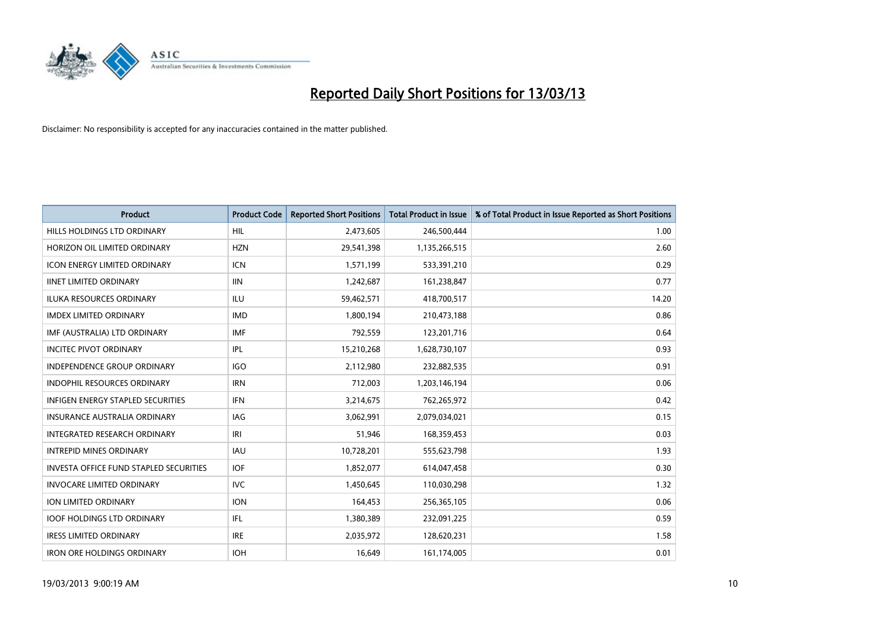

| <b>Product</b>                                | <b>Product Code</b> | <b>Reported Short Positions</b> | <b>Total Product in Issue</b> | % of Total Product in Issue Reported as Short Positions |
|-----------------------------------------------|---------------------|---------------------------------|-------------------------------|---------------------------------------------------------|
| HILLS HOLDINGS LTD ORDINARY                   | <b>HIL</b>          | 2,473,605                       | 246,500,444                   | 1.00                                                    |
| HORIZON OIL LIMITED ORDINARY                  | <b>HZN</b>          | 29,541,398                      | 1,135,266,515                 | 2.60                                                    |
| <b>ICON ENERGY LIMITED ORDINARY</b>           | <b>ICN</b>          | 1,571,199                       | 533,391,210                   | 0.29                                                    |
| <b>IINET LIMITED ORDINARY</b>                 | <b>IIN</b>          | 1,242,687                       | 161,238,847                   | 0.77                                                    |
| <b>ILUKA RESOURCES ORDINARY</b>               | ILU                 | 59,462,571                      | 418,700,517                   | 14.20                                                   |
| <b>IMDEX LIMITED ORDINARY</b>                 | <b>IMD</b>          | 1,800,194                       | 210,473,188                   | 0.86                                                    |
| IMF (AUSTRALIA) LTD ORDINARY                  | <b>IMF</b>          | 792,559                         | 123,201,716                   | 0.64                                                    |
| <b>INCITEC PIVOT ORDINARY</b>                 | IPL                 | 15,210,268                      | 1,628,730,107                 | 0.93                                                    |
| INDEPENDENCE GROUP ORDINARY                   | <b>IGO</b>          | 2,112,980                       | 232,882,535                   | 0.91                                                    |
| <b>INDOPHIL RESOURCES ORDINARY</b>            | <b>IRN</b>          | 712,003                         | 1,203,146,194                 | 0.06                                                    |
| <b>INFIGEN ENERGY STAPLED SECURITIES</b>      | <b>IFN</b>          | 3,214,675                       | 762,265,972                   | 0.42                                                    |
| <b>INSURANCE AUSTRALIA ORDINARY</b>           | IAG                 | 3,062,991                       | 2,079,034,021                 | 0.15                                                    |
| <b>INTEGRATED RESEARCH ORDINARY</b>           | IRI                 | 51,946                          | 168,359,453                   | 0.03                                                    |
| <b>INTREPID MINES ORDINARY</b>                | <b>IAU</b>          | 10,728,201                      | 555,623,798                   | 1.93                                                    |
| <b>INVESTA OFFICE FUND STAPLED SECURITIES</b> | <b>IOF</b>          | 1,852,077                       | 614,047,458                   | 0.30                                                    |
| <b>INVOCARE LIMITED ORDINARY</b>              | <b>IVC</b>          | 1,450,645                       | 110,030,298                   | 1.32                                                    |
| ION LIMITED ORDINARY                          | <b>ION</b>          | 164,453                         | 256,365,105                   | 0.06                                                    |
| <b>IOOF HOLDINGS LTD ORDINARY</b>             | IFL.                | 1,380,389                       | 232,091,225                   | 0.59                                                    |
| <b>IRESS LIMITED ORDINARY</b>                 | <b>IRE</b>          | 2,035,972                       | 128,620,231                   | 1.58                                                    |
| <b>IRON ORE HOLDINGS ORDINARY</b>             | <b>IOH</b>          | 16.649                          | 161,174,005                   | 0.01                                                    |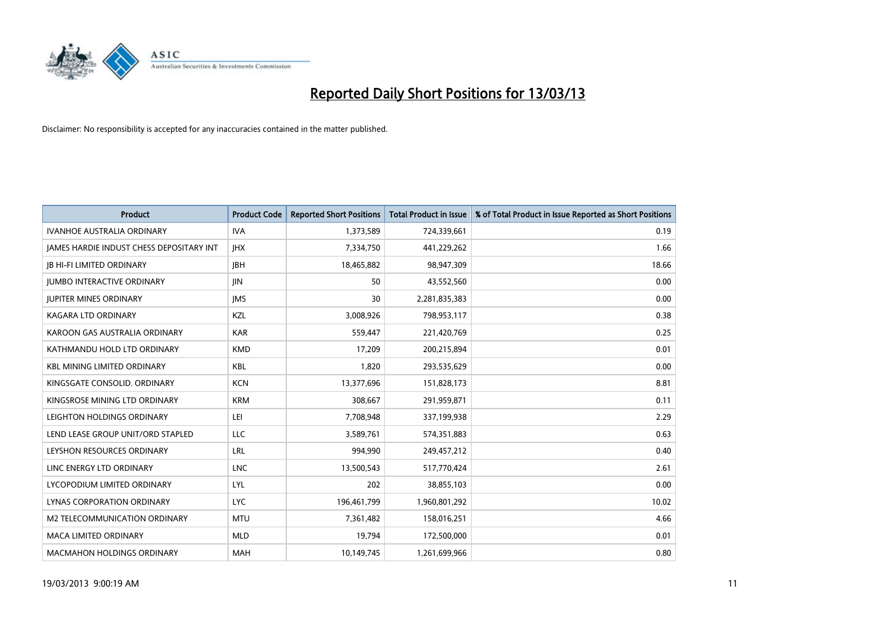

| <b>Product</b>                                  | <b>Product Code</b> | <b>Reported Short Positions</b> | <b>Total Product in Issue</b> | % of Total Product in Issue Reported as Short Positions |
|-------------------------------------------------|---------------------|---------------------------------|-------------------------------|---------------------------------------------------------|
| <b>IVANHOE AUSTRALIA ORDINARY</b>               | <b>IVA</b>          | 1,373,589                       | 724,339,661                   | 0.19                                                    |
| <b>JAMES HARDIE INDUST CHESS DEPOSITARY INT</b> | <b>IHX</b>          | 7,334,750                       | 441,229,262                   | 1.66                                                    |
| <b>IB HI-FI LIMITED ORDINARY</b>                | <b>IBH</b>          | 18,465,882                      | 98,947,309                    | 18.66                                                   |
| <b>JUMBO INTERACTIVE ORDINARY</b>               | <b>JIN</b>          | 50                              | 43,552,560                    | 0.00                                                    |
| <b>IUPITER MINES ORDINARY</b>                   | <b>IMS</b>          | 30                              | 2,281,835,383                 | 0.00                                                    |
| KAGARA LTD ORDINARY                             | KZL                 | 3,008,926                       | 798,953,117                   | 0.38                                                    |
| KAROON GAS AUSTRALIA ORDINARY                   | <b>KAR</b>          | 559.447                         | 221,420,769                   | 0.25                                                    |
| KATHMANDU HOLD LTD ORDINARY                     | <b>KMD</b>          | 17,209                          | 200,215,894                   | 0.01                                                    |
| <b>KBL MINING LIMITED ORDINARY</b>              | <b>KBL</b>          | 1,820                           | 293,535,629                   | 0.00                                                    |
| KINGSGATE CONSOLID. ORDINARY                    | <b>KCN</b>          | 13,377,696                      | 151,828,173                   | 8.81                                                    |
| KINGSROSE MINING LTD ORDINARY                   | <b>KRM</b>          | 308,667                         | 291,959,871                   | 0.11                                                    |
| LEIGHTON HOLDINGS ORDINARY                      | LEI                 | 7,708,948                       | 337,199,938                   | 2.29                                                    |
| LEND LEASE GROUP UNIT/ORD STAPLED               | LLC                 | 3,589,761                       | 574,351,883                   | 0.63                                                    |
| LEYSHON RESOURCES ORDINARY                      | <b>LRL</b>          | 994,990                         | 249,457,212                   | 0.40                                                    |
| LINC ENERGY LTD ORDINARY                        | <b>LNC</b>          | 13,500,543                      | 517,770,424                   | 2.61                                                    |
| LYCOPODIUM LIMITED ORDINARY                     | <b>LYL</b>          | 202                             | 38,855,103                    | 0.00                                                    |
| <b>LYNAS CORPORATION ORDINARY</b>               | <b>LYC</b>          | 196,461,799                     | 1,960,801,292                 | 10.02                                                   |
| M2 TELECOMMUNICATION ORDINARY                   | <b>MTU</b>          | 7,361,482                       | 158,016,251                   | 4.66                                                    |
| <b>MACA LIMITED ORDINARY</b>                    | <b>MLD</b>          | 19,794                          | 172,500,000                   | 0.01                                                    |
| <b>MACMAHON HOLDINGS ORDINARY</b>               | <b>MAH</b>          | 10,149,745                      | 1,261,699,966                 | 0.80                                                    |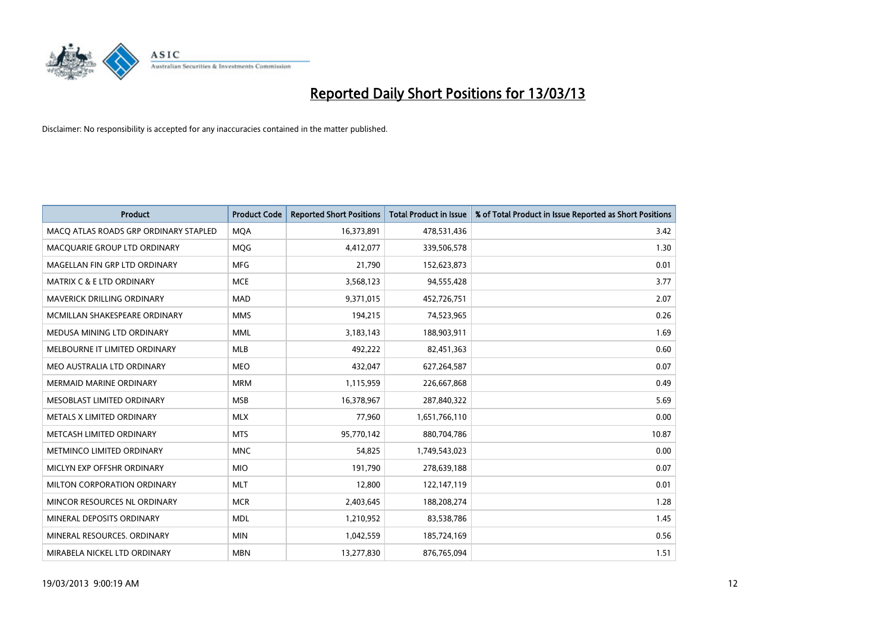

| <b>Product</b>                        | <b>Product Code</b> | <b>Reported Short Positions</b> | <b>Total Product in Issue</b> | % of Total Product in Issue Reported as Short Positions |
|---------------------------------------|---------------------|---------------------------------|-------------------------------|---------------------------------------------------------|
| MACQ ATLAS ROADS GRP ORDINARY STAPLED | <b>MOA</b>          | 16,373,891                      | 478,531,436                   | 3.42                                                    |
| MACQUARIE GROUP LTD ORDINARY          | <b>MOG</b>          | 4,412,077                       | 339,506,578                   | 1.30                                                    |
| MAGELLAN FIN GRP LTD ORDINARY         | <b>MFG</b>          | 21,790                          | 152,623,873                   | 0.01                                                    |
| <b>MATRIX C &amp; E LTD ORDINARY</b>  | <b>MCE</b>          | 3,568,123                       | 94,555,428                    | 3.77                                                    |
| <b>MAVERICK DRILLING ORDINARY</b>     | <b>MAD</b>          | 9,371,015                       | 452,726,751                   | 2.07                                                    |
| MCMILLAN SHAKESPEARE ORDINARY         | <b>MMS</b>          | 194,215                         | 74,523,965                    | 0.26                                                    |
| MEDUSA MINING LTD ORDINARY            | <b>MML</b>          | 3,183,143                       | 188,903,911                   | 1.69                                                    |
| MELBOURNE IT LIMITED ORDINARY         | <b>MLB</b>          | 492,222                         | 82,451,363                    | 0.60                                                    |
| MEO AUSTRALIA LTD ORDINARY            | <b>MEO</b>          | 432,047                         | 627,264,587                   | 0.07                                                    |
| <b>MERMAID MARINE ORDINARY</b>        | <b>MRM</b>          | 1,115,959                       | 226,667,868                   | 0.49                                                    |
| MESOBLAST LIMITED ORDINARY            | <b>MSB</b>          | 16,378,967                      | 287,840,322                   | 5.69                                                    |
| METALS X LIMITED ORDINARY             | <b>MLX</b>          | 77,960                          | 1,651,766,110                 | 0.00                                                    |
| METCASH LIMITED ORDINARY              | <b>MTS</b>          | 95,770,142                      | 880,704,786                   | 10.87                                                   |
| METMINCO LIMITED ORDINARY             | <b>MNC</b>          | 54,825                          | 1,749,543,023                 | 0.00                                                    |
| MICLYN EXP OFFSHR ORDINARY            | <b>MIO</b>          | 191,790                         | 278,639,188                   | 0.07                                                    |
| MILTON CORPORATION ORDINARY           | <b>MLT</b>          | 12,800                          | 122,147,119                   | 0.01                                                    |
| MINCOR RESOURCES NL ORDINARY          | <b>MCR</b>          | 2,403,645                       | 188,208,274                   | 1.28                                                    |
| MINERAL DEPOSITS ORDINARY             | <b>MDL</b>          | 1,210,952                       | 83,538,786                    | 1.45                                                    |
| MINERAL RESOURCES, ORDINARY           | <b>MIN</b>          | 1,042,559                       | 185,724,169                   | 0.56                                                    |
| MIRABELA NICKEL LTD ORDINARY          | <b>MBN</b>          | 13,277,830                      | 876,765,094                   | 1.51                                                    |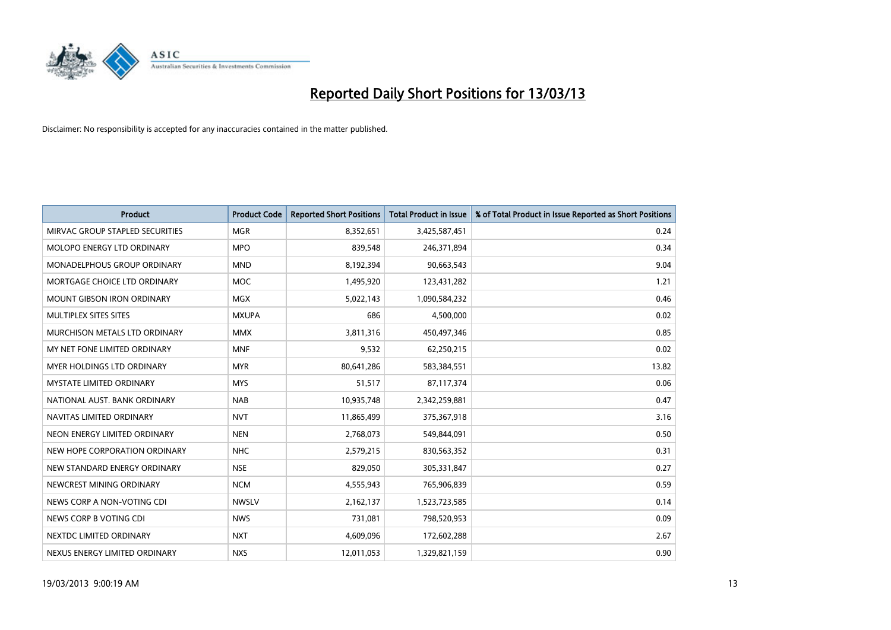

| <b>Product</b>                       | <b>Product Code</b> | <b>Reported Short Positions</b> | <b>Total Product in Issue</b> | % of Total Product in Issue Reported as Short Positions |
|--------------------------------------|---------------------|---------------------------------|-------------------------------|---------------------------------------------------------|
| MIRVAC GROUP STAPLED SECURITIES      | <b>MGR</b>          | 8,352,651                       | 3,425,587,451                 | 0.24                                                    |
| MOLOPO ENERGY LTD ORDINARY           | <b>MPO</b>          | 839,548                         | 246,371,894                   | 0.34                                                    |
| <b>MONADELPHOUS GROUP ORDINARY</b>   | <b>MND</b>          | 8,192,394                       | 90,663,543                    | 9.04                                                    |
| MORTGAGE CHOICE LTD ORDINARY         | <b>MOC</b>          | 1,495,920                       | 123,431,282                   | 1.21                                                    |
| <b>MOUNT GIBSON IRON ORDINARY</b>    | <b>MGX</b>          | 5,022,143                       | 1,090,584,232                 | 0.46                                                    |
| MULTIPLEX SITES SITES                | <b>MXUPA</b>        | 686                             | 4,500,000                     | 0.02                                                    |
| <b>MURCHISON METALS LTD ORDINARY</b> | <b>MMX</b>          | 3,811,316                       | 450,497,346                   | 0.85                                                    |
| MY NET FONE LIMITED ORDINARY         | <b>MNF</b>          | 9,532                           | 62,250,215                    | 0.02                                                    |
| MYER HOLDINGS LTD ORDINARY           | <b>MYR</b>          | 80,641,286                      | 583,384,551                   | 13.82                                                   |
| <b>MYSTATE LIMITED ORDINARY</b>      | <b>MYS</b>          | 51,517                          | 87,117,374                    | 0.06                                                    |
| NATIONAL AUST. BANK ORDINARY         | <b>NAB</b>          | 10,935,748                      | 2,342,259,881                 | 0.47                                                    |
| NAVITAS LIMITED ORDINARY             | <b>NVT</b>          | 11,865,499                      | 375,367,918                   | 3.16                                                    |
| NEON ENERGY LIMITED ORDINARY         | <b>NEN</b>          | 2,768,073                       | 549,844,091                   | 0.50                                                    |
| NEW HOPE CORPORATION ORDINARY        | <b>NHC</b>          | 2,579,215                       | 830,563,352                   | 0.31                                                    |
| NEW STANDARD ENERGY ORDINARY         | <b>NSE</b>          | 829,050                         | 305,331,847                   | 0.27                                                    |
| NEWCREST MINING ORDINARY             | <b>NCM</b>          | 4,555,943                       | 765,906,839                   | 0.59                                                    |
| NEWS CORP A NON-VOTING CDI           | <b>NWSLV</b>        | 2,162,137                       | 1,523,723,585                 | 0.14                                                    |
| NEWS CORP B VOTING CDI               | <b>NWS</b>          | 731,081                         | 798,520,953                   | 0.09                                                    |
| NEXTDC LIMITED ORDINARY              | <b>NXT</b>          | 4,609,096                       | 172,602,288                   | 2.67                                                    |
| NEXUS ENERGY LIMITED ORDINARY        | <b>NXS</b>          | 12,011,053                      | 1,329,821,159                 | 0.90                                                    |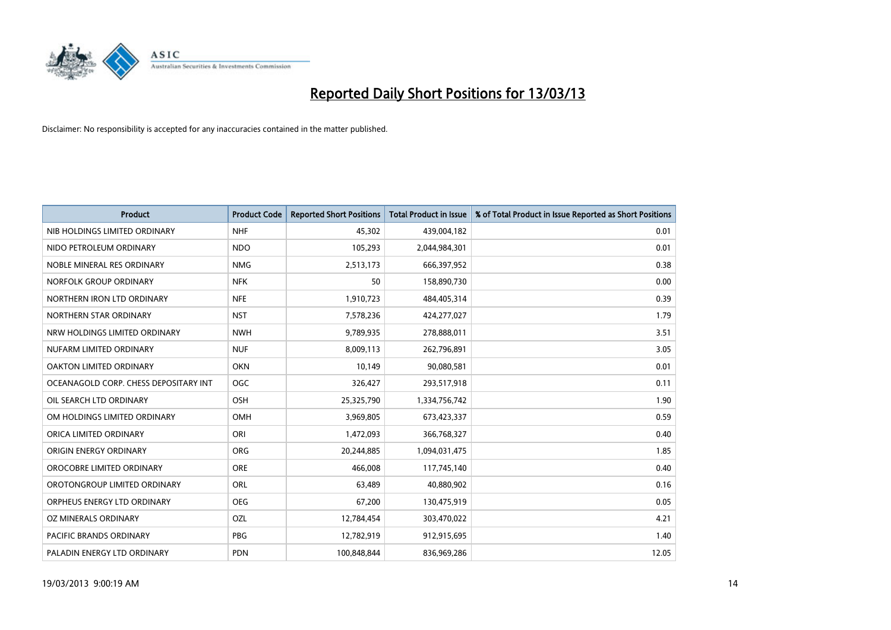

| <b>Product</b>                        | <b>Product Code</b> | <b>Reported Short Positions</b> | <b>Total Product in Issue</b> | % of Total Product in Issue Reported as Short Positions |
|---------------------------------------|---------------------|---------------------------------|-------------------------------|---------------------------------------------------------|
| NIB HOLDINGS LIMITED ORDINARY         | <b>NHF</b>          | 45,302                          | 439,004,182                   | 0.01                                                    |
| NIDO PETROLEUM ORDINARY               | <b>NDO</b>          | 105,293                         | 2,044,984,301                 | 0.01                                                    |
| NOBLE MINERAL RES ORDINARY            | <b>NMG</b>          | 2,513,173                       | 666,397,952                   | 0.38                                                    |
| NORFOLK GROUP ORDINARY                | <b>NFK</b>          | 50                              | 158,890,730                   | 0.00                                                    |
| NORTHERN IRON LTD ORDINARY            | <b>NFE</b>          | 1,910,723                       | 484,405,314                   | 0.39                                                    |
| NORTHERN STAR ORDINARY                | <b>NST</b>          | 7,578,236                       | 424,277,027                   | 1.79                                                    |
| NRW HOLDINGS LIMITED ORDINARY         | <b>NWH</b>          | 9,789,935                       | 278,888,011                   | 3.51                                                    |
| NUFARM LIMITED ORDINARY               | <b>NUF</b>          | 8,009,113                       | 262,796,891                   | 3.05                                                    |
| OAKTON LIMITED ORDINARY               | <b>OKN</b>          | 10,149                          | 90,080,581                    | 0.01                                                    |
| OCEANAGOLD CORP. CHESS DEPOSITARY INT | OGC                 | 326,427                         | 293,517,918                   | 0.11                                                    |
| OIL SEARCH LTD ORDINARY               | <b>OSH</b>          | 25,325,790                      | 1,334,756,742                 | 1.90                                                    |
| OM HOLDINGS LIMITED ORDINARY          | OMH                 | 3,969,805                       | 673,423,337                   | 0.59                                                    |
| ORICA LIMITED ORDINARY                | ORI                 | 1,472,093                       | 366,768,327                   | 0.40                                                    |
| ORIGIN ENERGY ORDINARY                | <b>ORG</b>          | 20,244,885                      | 1,094,031,475                 | 1.85                                                    |
| OROCOBRE LIMITED ORDINARY             | <b>ORE</b>          | 466,008                         | 117,745,140                   | 0.40                                                    |
| OROTONGROUP LIMITED ORDINARY          | <b>ORL</b>          | 63,489                          | 40,880,902                    | 0.16                                                    |
| ORPHEUS ENERGY LTD ORDINARY           | <b>OEG</b>          | 67,200                          | 130,475,919                   | 0.05                                                    |
| OZ MINERALS ORDINARY                  | OZL                 | 12,784,454                      | 303,470,022                   | 4.21                                                    |
| <b>PACIFIC BRANDS ORDINARY</b>        | <b>PBG</b>          | 12,782,919                      | 912,915,695                   | 1.40                                                    |
| PALADIN ENERGY LTD ORDINARY           | <b>PDN</b>          | 100.848.844                     | 836,969,286                   | 12.05                                                   |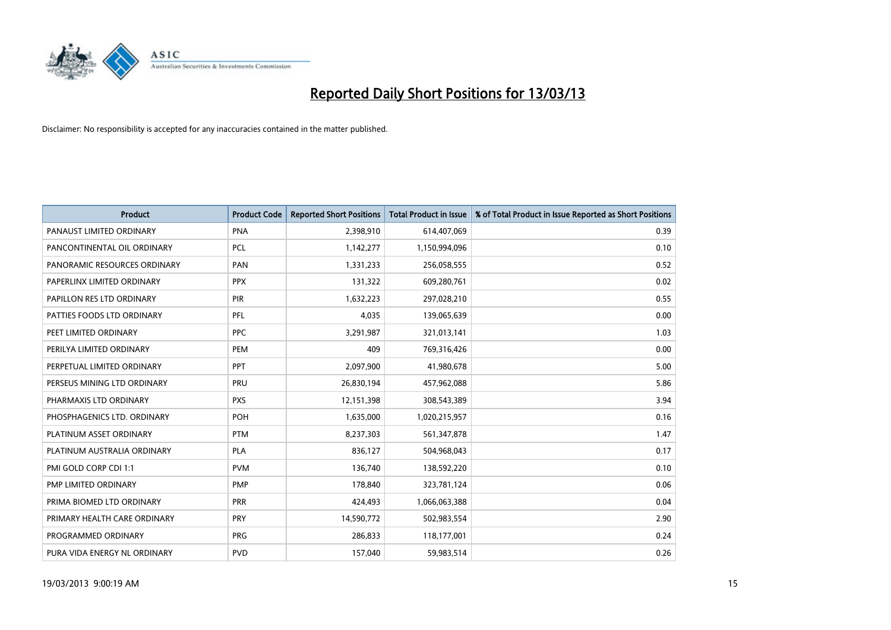

| <b>Product</b>               | <b>Product Code</b> | <b>Reported Short Positions</b> | <b>Total Product in Issue</b> | % of Total Product in Issue Reported as Short Positions |
|------------------------------|---------------------|---------------------------------|-------------------------------|---------------------------------------------------------|
| PANAUST LIMITED ORDINARY     | <b>PNA</b>          | 2,398,910                       | 614,407,069                   | 0.39                                                    |
| PANCONTINENTAL OIL ORDINARY  | <b>PCL</b>          | 1,142,277                       | 1,150,994,096                 | 0.10                                                    |
| PANORAMIC RESOURCES ORDINARY | PAN                 | 1,331,233                       | 256,058,555                   | 0.52                                                    |
| PAPERLINX LIMITED ORDINARY   | <b>PPX</b>          | 131,322                         | 609,280,761                   | 0.02                                                    |
| PAPILLON RES LTD ORDINARY    | <b>PIR</b>          | 1,632,223                       | 297,028,210                   | 0.55                                                    |
| PATTIES FOODS LTD ORDINARY   | PFL                 | 4,035                           | 139,065,639                   | 0.00                                                    |
| PEET LIMITED ORDINARY        | <b>PPC</b>          | 3,291,987                       | 321,013,141                   | 1.03                                                    |
| PERILYA LIMITED ORDINARY     | PEM                 | 409                             | 769,316,426                   | 0.00                                                    |
| PERPETUAL LIMITED ORDINARY   | <b>PPT</b>          | 2,097,900                       | 41,980,678                    | 5.00                                                    |
| PERSEUS MINING LTD ORDINARY  | PRU                 | 26,830,194                      | 457,962,088                   | 5.86                                                    |
| PHARMAXIS LTD ORDINARY       | <b>PXS</b>          | 12,151,398                      | 308,543,389                   | 3.94                                                    |
| PHOSPHAGENICS LTD. ORDINARY  | <b>POH</b>          | 1,635,000                       | 1,020,215,957                 | 0.16                                                    |
| PLATINUM ASSET ORDINARY      | <b>PTM</b>          | 8,237,303                       | 561,347,878                   | 1.47                                                    |
| PLATINUM AUSTRALIA ORDINARY  | <b>PLA</b>          | 836,127                         | 504,968,043                   | 0.17                                                    |
| PMI GOLD CORP CDI 1:1        | <b>PVM</b>          | 136,740                         | 138,592,220                   | 0.10                                                    |
| PMP LIMITED ORDINARY         | <b>PMP</b>          | 178,840                         | 323,781,124                   | 0.06                                                    |
| PRIMA BIOMED LTD ORDINARY    | PRR                 | 424,493                         | 1,066,063,388                 | 0.04                                                    |
| PRIMARY HEALTH CARE ORDINARY | <b>PRY</b>          | 14,590,772                      | 502,983,554                   | 2.90                                                    |
| PROGRAMMED ORDINARY          | <b>PRG</b>          | 286,833                         | 118,177,001                   | 0.24                                                    |
| PURA VIDA ENERGY NL ORDINARY | <b>PVD</b>          | 157,040                         | 59,983,514                    | 0.26                                                    |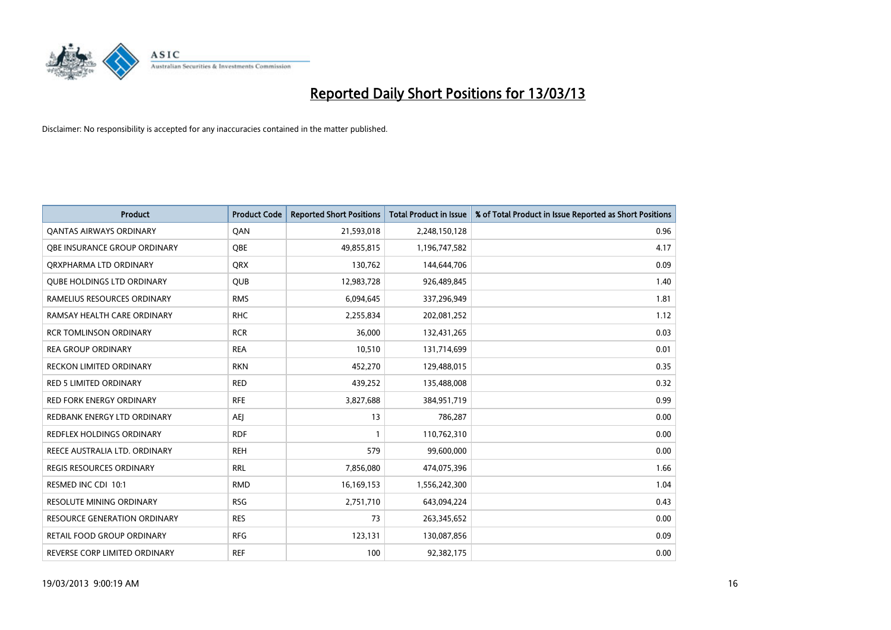

| <b>Product</b>                      | <b>Product Code</b> | <b>Reported Short Positions</b> | <b>Total Product in Issue</b> | % of Total Product in Issue Reported as Short Positions |
|-------------------------------------|---------------------|---------------------------------|-------------------------------|---------------------------------------------------------|
| <b>QANTAS AIRWAYS ORDINARY</b>      | QAN                 | 21,593,018                      | 2,248,150,128                 | 0.96                                                    |
| OBE INSURANCE GROUP ORDINARY        | <b>OBE</b>          | 49,855,815                      | 1,196,747,582                 | 4.17                                                    |
| ORXPHARMA LTD ORDINARY              | <b>QRX</b>          | 130,762                         | 144,644,706                   | 0.09                                                    |
| <b>OUBE HOLDINGS LTD ORDINARY</b>   | <b>OUB</b>          | 12,983,728                      | 926,489,845                   | 1.40                                                    |
| RAMELIUS RESOURCES ORDINARY         | <b>RMS</b>          | 6,094,645                       | 337,296,949                   | 1.81                                                    |
| RAMSAY HEALTH CARE ORDINARY         | <b>RHC</b>          | 2,255,834                       | 202,081,252                   | 1.12                                                    |
| <b>RCR TOMLINSON ORDINARY</b>       | <b>RCR</b>          | 36.000                          | 132,431,265                   | 0.03                                                    |
| <b>REA GROUP ORDINARY</b>           | <b>REA</b>          | 10,510                          | 131,714,699                   | 0.01                                                    |
| <b>RECKON LIMITED ORDINARY</b>      | <b>RKN</b>          | 452,270                         | 129,488,015                   | 0.35                                                    |
| RED 5 LIMITED ORDINARY              | <b>RED</b>          | 439,252                         | 135,488,008                   | 0.32                                                    |
| RED FORK ENERGY ORDINARY            | <b>RFE</b>          | 3,827,688                       | 384,951,719                   | 0.99                                                    |
| REDBANK ENERGY LTD ORDINARY         | AEJ                 | 13                              | 786,287                       | 0.00                                                    |
| REDFLEX HOLDINGS ORDINARY           | <b>RDF</b>          |                                 | 110,762,310                   | 0.00                                                    |
| REECE AUSTRALIA LTD. ORDINARY       | <b>REH</b>          | 579                             | 99,600,000                    | 0.00                                                    |
| <b>REGIS RESOURCES ORDINARY</b>     | <b>RRL</b>          | 7,856,080                       | 474,075,396                   | 1.66                                                    |
| RESMED INC CDI 10:1                 | <b>RMD</b>          | 16,169,153                      | 1,556,242,300                 | 1.04                                                    |
| RESOLUTE MINING ORDINARY            | <b>RSG</b>          | 2,751,710                       | 643,094,224                   | 0.43                                                    |
| <b>RESOURCE GENERATION ORDINARY</b> | <b>RES</b>          | 73                              | 263,345,652                   | 0.00                                                    |
| <b>RETAIL FOOD GROUP ORDINARY</b>   | <b>RFG</b>          | 123,131                         | 130,087,856                   | 0.09                                                    |
| REVERSE CORP LIMITED ORDINARY       | <b>REF</b>          | 100                             | 92,382,175                    | 0.00                                                    |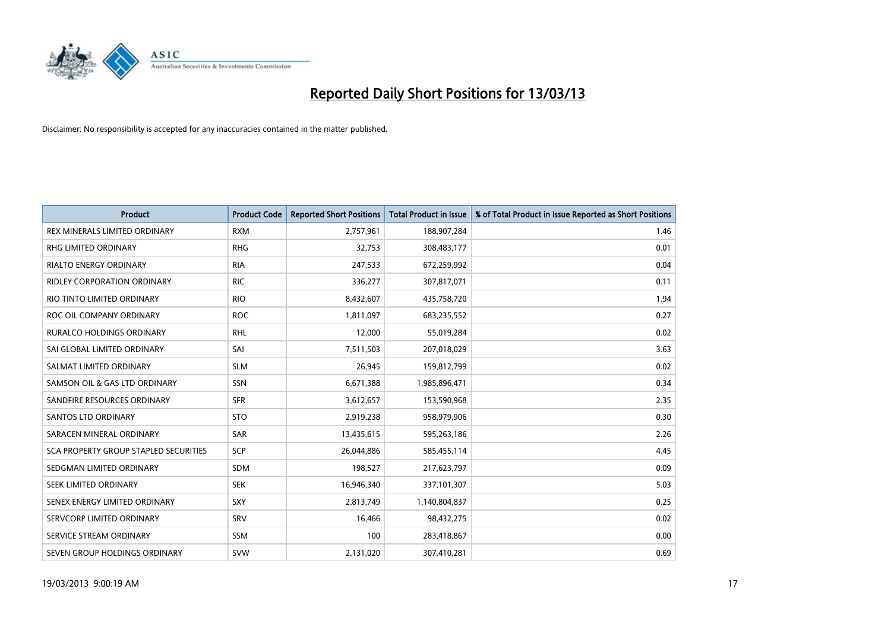

| <b>Product</b>                               | <b>Product Code</b> | <b>Reported Short Positions</b> | <b>Total Product in Issue</b> | % of Total Product in Issue Reported as Short Positions |
|----------------------------------------------|---------------------|---------------------------------|-------------------------------|---------------------------------------------------------|
| REX MINERALS LIMITED ORDINARY                | <b>RXM</b>          | 2,757,961                       | 188,907,284                   | 1.46                                                    |
| <b>RHG LIMITED ORDINARY</b>                  | <b>RHG</b>          | 32,753                          | 308,483,177                   | 0.01                                                    |
| <b>RIALTO ENERGY ORDINARY</b>                | <b>RIA</b>          | 247,533                         | 672,259,992                   | 0.04                                                    |
| RIDLEY CORPORATION ORDINARY                  | <b>RIC</b>          | 336,277                         | 307,817,071                   | 0.11                                                    |
| RIO TINTO LIMITED ORDINARY                   | <b>RIO</b>          | 8,432,607                       | 435,758,720                   | 1.94                                                    |
| ROC OIL COMPANY ORDINARY                     | <b>ROC</b>          | 1,811,097                       | 683,235,552                   | 0.27                                                    |
| <b>RURALCO HOLDINGS ORDINARY</b>             | <b>RHL</b>          | 12,000                          | 55,019,284                    | 0.02                                                    |
| SAI GLOBAL LIMITED ORDINARY                  | SAI                 | 7,511,503                       | 207,018,029                   | 3.63                                                    |
| SALMAT LIMITED ORDINARY                      | <b>SLM</b>          | 26,945                          | 159,812,799                   | 0.02                                                    |
| SAMSON OIL & GAS LTD ORDINARY                | <b>SSN</b>          | 6,671,388                       | 1,985,896,471                 | 0.34                                                    |
| SANDFIRE RESOURCES ORDINARY                  | <b>SFR</b>          | 3,612,657                       | 153,590,968                   | 2.35                                                    |
| <b>SANTOS LTD ORDINARY</b>                   | <b>STO</b>          | 2,919,238                       | 958,979,906                   | 0.30                                                    |
| SARACEN MINERAL ORDINARY                     | SAR                 | 13,435,615                      | 595,263,186                   | 2.26                                                    |
| <b>SCA PROPERTY GROUP STAPLED SECURITIES</b> | <b>SCP</b>          | 26,044,886                      | 585,455,114                   | 4.45                                                    |
| SEDGMAN LIMITED ORDINARY                     | <b>SDM</b>          | 198,527                         | 217,623,797                   | 0.09                                                    |
| SEEK LIMITED ORDINARY                        | <b>SEK</b>          | 16,946,340                      | 337,101,307                   | 5.03                                                    |
| SENEX ENERGY LIMITED ORDINARY                | <b>SXY</b>          | 2,813,749                       | 1,140,804,837                 | 0.25                                                    |
| SERVCORP LIMITED ORDINARY                    | SRV                 | 16,466                          | 98,432,275                    | 0.02                                                    |
| SERVICE STREAM ORDINARY                      | <b>SSM</b>          | 100                             | 283,418,867                   | 0.00                                                    |
| SEVEN GROUP HOLDINGS ORDINARY                | <b>SVW</b>          | 2,131,020                       | 307,410,281                   | 0.69                                                    |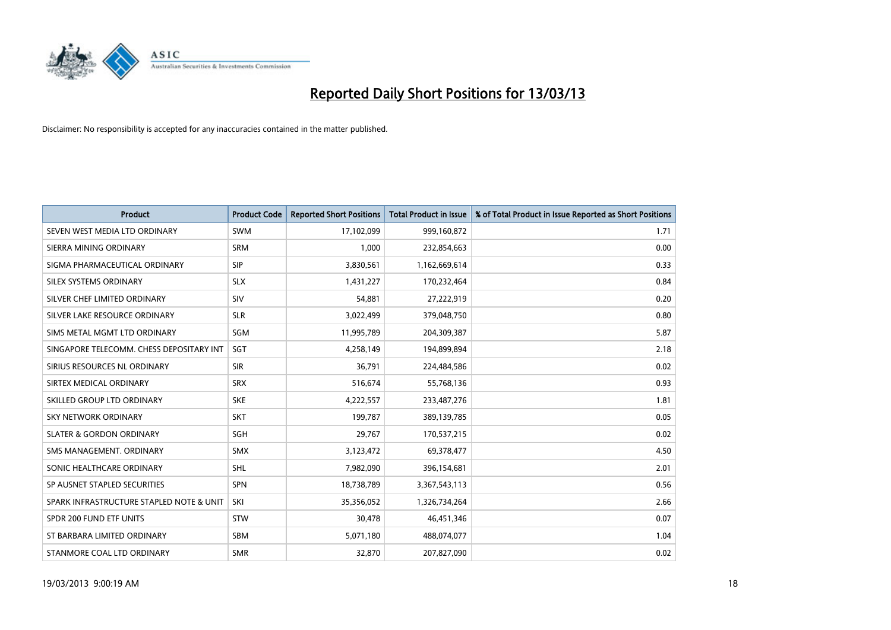

| <b>Product</b>                           | <b>Product Code</b> | <b>Reported Short Positions</b> | <b>Total Product in Issue</b> | % of Total Product in Issue Reported as Short Positions |
|------------------------------------------|---------------------|---------------------------------|-------------------------------|---------------------------------------------------------|
| SEVEN WEST MEDIA LTD ORDINARY            | <b>SWM</b>          | 17,102,099                      | 999,160,872                   | 1.71                                                    |
| SIERRA MINING ORDINARY                   | <b>SRM</b>          | 1,000                           | 232,854,663                   | 0.00                                                    |
| SIGMA PHARMACEUTICAL ORDINARY            | <b>SIP</b>          | 3,830,561                       | 1,162,669,614                 | 0.33                                                    |
| SILEX SYSTEMS ORDINARY                   | <b>SLX</b>          | 1,431,227                       | 170,232,464                   | 0.84                                                    |
| SILVER CHEF LIMITED ORDINARY             | SIV                 | 54,881                          | 27,222,919                    | 0.20                                                    |
| SILVER LAKE RESOURCE ORDINARY            | <b>SLR</b>          | 3,022,499                       | 379,048,750                   | 0.80                                                    |
| SIMS METAL MGMT LTD ORDINARY             | <b>SGM</b>          | 11,995,789                      | 204,309,387                   | 5.87                                                    |
| SINGAPORE TELECOMM. CHESS DEPOSITARY INT | <b>SGT</b>          | 4,258,149                       | 194,899,894                   | 2.18                                                    |
| SIRIUS RESOURCES NL ORDINARY             | <b>SIR</b>          | 36,791                          | 224,484,586                   | 0.02                                                    |
| SIRTEX MEDICAL ORDINARY                  | <b>SRX</b>          | 516,674                         | 55,768,136                    | 0.93                                                    |
| SKILLED GROUP LTD ORDINARY               | <b>SKE</b>          | 4,222,557                       | 233,487,276                   | 1.81                                                    |
| <b>SKY NETWORK ORDINARY</b>              | <b>SKT</b>          | 199,787                         | 389,139,785                   | 0.05                                                    |
| <b>SLATER &amp; GORDON ORDINARY</b>      | <b>SGH</b>          | 29,767                          | 170,537,215                   | 0.02                                                    |
| SMS MANAGEMENT, ORDINARY                 | <b>SMX</b>          | 3,123,472                       | 69,378,477                    | 4.50                                                    |
| SONIC HEALTHCARE ORDINARY                | <b>SHL</b>          | 7,982,090                       | 396,154,681                   | 2.01                                                    |
| SP AUSNET STAPLED SECURITIES             | <b>SPN</b>          | 18,738,789                      | 3,367,543,113                 | 0.56                                                    |
| SPARK INFRASTRUCTURE STAPLED NOTE & UNIT | SKI                 | 35,356,052                      | 1,326,734,264                 | 2.66                                                    |
| SPDR 200 FUND ETF UNITS                  | <b>STW</b>          | 30,478                          | 46,451,346                    | 0.07                                                    |
| ST BARBARA LIMITED ORDINARY              | <b>SBM</b>          | 5,071,180                       | 488,074,077                   | 1.04                                                    |
| STANMORE COAL LTD ORDINARY               | <b>SMR</b>          | 32,870                          | 207,827,090                   | 0.02                                                    |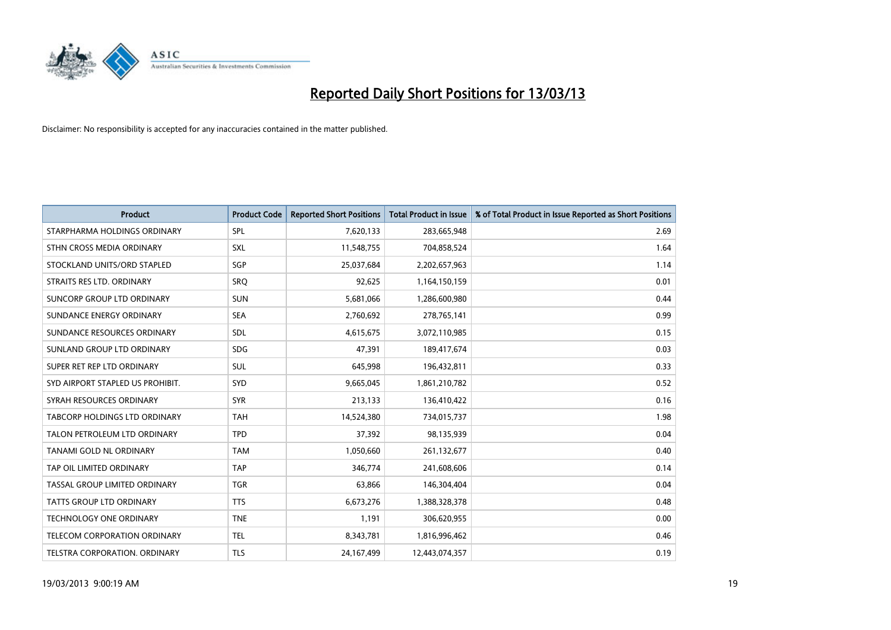

| <b>Product</b>                       | <b>Product Code</b> | <b>Reported Short Positions</b> | <b>Total Product in Issue</b> | % of Total Product in Issue Reported as Short Positions |
|--------------------------------------|---------------------|---------------------------------|-------------------------------|---------------------------------------------------------|
| STARPHARMA HOLDINGS ORDINARY         | SPL                 | 7,620,133                       | 283,665,948                   | 2.69                                                    |
| STHN CROSS MEDIA ORDINARY            | <b>SXL</b>          | 11,548,755                      | 704,858,524                   | 1.64                                                    |
| STOCKLAND UNITS/ORD STAPLED          | SGP                 | 25,037,684                      | 2,202,657,963                 | 1.14                                                    |
| STRAITS RES LTD. ORDINARY            | SRQ                 | 92,625                          | 1,164,150,159                 | 0.01                                                    |
| SUNCORP GROUP LTD ORDINARY           | <b>SUN</b>          | 5,681,066                       | 1,286,600,980                 | 0.44                                                    |
| SUNDANCE ENERGY ORDINARY             | <b>SEA</b>          | 2,760,692                       | 278,765,141                   | 0.99                                                    |
| SUNDANCE RESOURCES ORDINARY          | <b>SDL</b>          | 4,615,675                       | 3,072,110,985                 | 0.15                                                    |
| SUNLAND GROUP LTD ORDINARY           | <b>SDG</b>          | 47,391                          | 189,417,674                   | 0.03                                                    |
| SUPER RET REP LTD ORDINARY           | <b>SUL</b>          | 645,998                         | 196,432,811                   | 0.33                                                    |
| SYD AIRPORT STAPLED US PROHIBIT.     | <b>SYD</b>          | 9,665,045                       | 1,861,210,782                 | 0.52                                                    |
| SYRAH RESOURCES ORDINARY             | <b>SYR</b>          | 213,133                         | 136,410,422                   | 0.16                                                    |
| <b>TABCORP HOLDINGS LTD ORDINARY</b> | <b>TAH</b>          | 14,524,380                      | 734,015,737                   | 1.98                                                    |
| TALON PETROLEUM LTD ORDINARY         | <b>TPD</b>          | 37,392                          | 98,135,939                    | 0.04                                                    |
| <b>TANAMI GOLD NL ORDINARY</b>       | <b>TAM</b>          | 1,050,660                       | 261,132,677                   | 0.40                                                    |
| TAP OIL LIMITED ORDINARY             | <b>TAP</b>          | 346,774                         | 241,608,606                   | 0.14                                                    |
| TASSAL GROUP LIMITED ORDINARY        | <b>TGR</b>          | 63,866                          | 146,304,404                   | 0.04                                                    |
| TATTS GROUP LTD ORDINARY             | <b>TTS</b>          | 6,673,276                       | 1,388,328,378                 | 0.48                                                    |
| TECHNOLOGY ONE ORDINARY              | <b>TNE</b>          | 1,191                           | 306,620,955                   | 0.00                                                    |
| <b>TELECOM CORPORATION ORDINARY</b>  | <b>TEL</b>          | 8,343,781                       | 1,816,996,462                 | 0.46                                                    |
| TELSTRA CORPORATION. ORDINARY        | <b>TLS</b>          | 24,167,499                      | 12,443,074,357                | 0.19                                                    |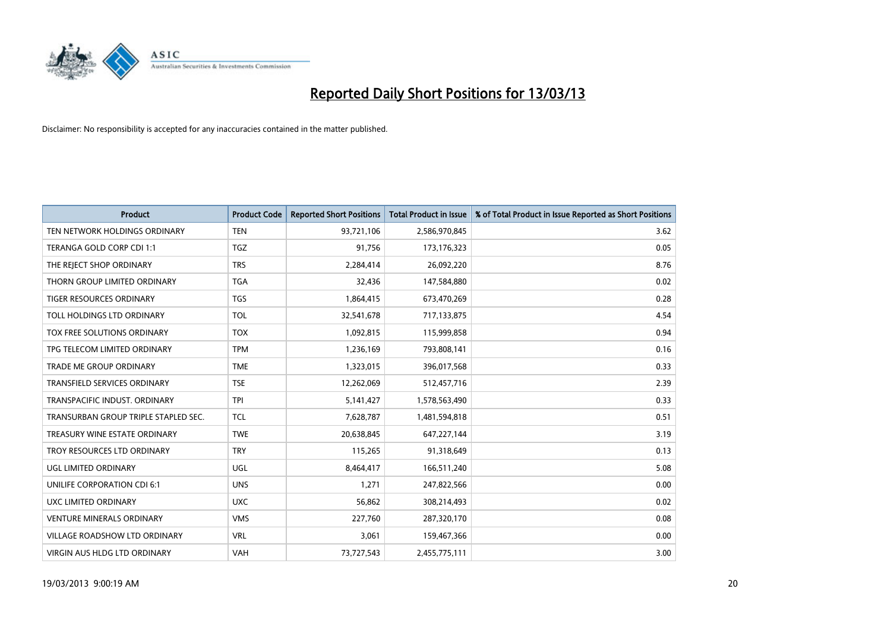

| <b>Product</b>                       | <b>Product Code</b> | <b>Reported Short Positions</b> | <b>Total Product in Issue</b> | % of Total Product in Issue Reported as Short Positions |
|--------------------------------------|---------------------|---------------------------------|-------------------------------|---------------------------------------------------------|
| TEN NETWORK HOLDINGS ORDINARY        | <b>TEN</b>          | 93,721,106                      | 2,586,970,845                 | 3.62                                                    |
| TERANGA GOLD CORP CDI 1:1            | <b>TGZ</b>          | 91,756                          | 173, 176, 323                 | 0.05                                                    |
| THE REJECT SHOP ORDINARY             | <b>TRS</b>          | 2,284,414                       | 26,092,220                    | 8.76                                                    |
| THORN GROUP LIMITED ORDINARY         | <b>TGA</b>          | 32,436                          | 147,584,880                   | 0.02                                                    |
| <b>TIGER RESOURCES ORDINARY</b>      | <b>TGS</b>          | 1,864,415                       | 673,470,269                   | 0.28                                                    |
| TOLL HOLDINGS LTD ORDINARY           | <b>TOL</b>          | 32,541,678                      | 717,133,875                   | 4.54                                                    |
| TOX FREE SOLUTIONS ORDINARY          | <b>TOX</b>          | 1,092,815                       | 115,999,858                   | 0.94                                                    |
| TPG TELECOM LIMITED ORDINARY         | <b>TPM</b>          | 1,236,169                       | 793,808,141                   | 0.16                                                    |
| <b>TRADE ME GROUP ORDINARY</b>       | <b>TME</b>          | 1,323,015                       | 396,017,568                   | 0.33                                                    |
| <b>TRANSFIELD SERVICES ORDINARY</b>  | <b>TSE</b>          | 12,262,069                      | 512,457,716                   | 2.39                                                    |
| TRANSPACIFIC INDUST. ORDINARY        | <b>TPI</b>          | 5,141,427                       | 1,578,563,490                 | 0.33                                                    |
| TRANSURBAN GROUP TRIPLE STAPLED SEC. | <b>TCL</b>          | 7,628,787                       | 1,481,594,818                 | 0.51                                                    |
| TREASURY WINE ESTATE ORDINARY        | <b>TWE</b>          | 20,638,845                      | 647, 227, 144                 | 3.19                                                    |
| TROY RESOURCES LTD ORDINARY          | <b>TRY</b>          | 115,265                         | 91,318,649                    | 0.13                                                    |
| <b>UGL LIMITED ORDINARY</b>          | UGL                 | 8,464,417                       | 166,511,240                   | 5.08                                                    |
| UNILIFE CORPORATION CDI 6:1          | <b>UNS</b>          | 1,271                           | 247,822,566                   | 0.00                                                    |
| UXC LIMITED ORDINARY                 | <b>UXC</b>          | 56,862                          | 308,214,493                   | 0.02                                                    |
| <b>VENTURE MINERALS ORDINARY</b>     | <b>VMS</b>          | 227,760                         | 287,320,170                   | 0.08                                                    |
| <b>VILLAGE ROADSHOW LTD ORDINARY</b> | <b>VRL</b>          | 3,061                           | 159,467,366                   | 0.00                                                    |
| VIRGIN AUS HLDG LTD ORDINARY         | VAH                 | 73,727,543                      | 2,455,775,111                 | 3.00                                                    |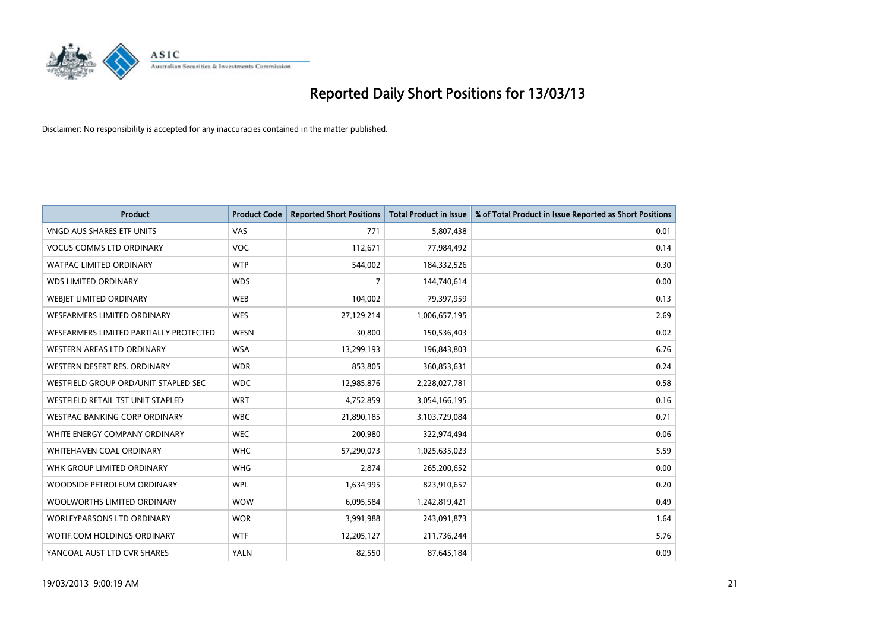

| <b>Product</b>                         | <b>Product Code</b> | <b>Reported Short Positions</b> | <b>Total Product in Issue</b> | % of Total Product in Issue Reported as Short Positions |
|----------------------------------------|---------------------|---------------------------------|-------------------------------|---------------------------------------------------------|
| <b>VNGD AUS SHARES ETF UNITS</b>       | <b>VAS</b>          | 771                             | 5,807,438                     | 0.01                                                    |
| <b>VOCUS COMMS LTD ORDINARY</b>        | <b>VOC</b>          | 112,671                         | 77,984,492                    | 0.14                                                    |
| WATPAC LIMITED ORDINARY                | <b>WTP</b>          | 544,002                         | 184,332,526                   | 0.30                                                    |
| <b>WDS LIMITED ORDINARY</b>            | <b>WDS</b>          | 7                               | 144,740,614                   | 0.00                                                    |
| WEBIET LIMITED ORDINARY                | <b>WEB</b>          | 104,002                         | 79,397,959                    | 0.13                                                    |
| WESFARMERS LIMITED ORDINARY            | <b>WES</b>          | 27,129,214                      | 1,006,657,195                 | 2.69                                                    |
| WESFARMERS LIMITED PARTIALLY PROTECTED | <b>WESN</b>         | 30,800                          | 150,536,403                   | 0.02                                                    |
| <b>WESTERN AREAS LTD ORDINARY</b>      | <b>WSA</b>          | 13,299,193                      | 196,843,803                   | 6.76                                                    |
| WESTERN DESERT RES. ORDINARY           | <b>WDR</b>          | 853,805                         | 360,853,631                   | 0.24                                                    |
| WESTFIELD GROUP ORD/UNIT STAPLED SEC   | <b>WDC</b>          | 12,985,876                      | 2,228,027,781                 | 0.58                                                    |
| WESTFIELD RETAIL TST UNIT STAPLED      | <b>WRT</b>          | 4,752,859                       | 3,054,166,195                 | 0.16                                                    |
| WESTPAC BANKING CORP ORDINARY          | <b>WBC</b>          | 21,890,185                      | 3,103,729,084                 | 0.71                                                    |
| WHITE ENERGY COMPANY ORDINARY          | <b>WEC</b>          | 200,980                         | 322,974,494                   | 0.06                                                    |
| <b>WHITEHAVEN COAL ORDINARY</b>        | <b>WHC</b>          | 57,290,073                      | 1,025,635,023                 | 5.59                                                    |
| WHK GROUP LIMITED ORDINARY             | <b>WHG</b>          | 2.874                           | 265,200,652                   | 0.00                                                    |
| WOODSIDE PETROLEUM ORDINARY            | <b>WPL</b>          | 1,634,995                       | 823,910,657                   | 0.20                                                    |
| WOOLWORTHS LIMITED ORDINARY            | <b>WOW</b>          | 6,095,584                       | 1,242,819,421                 | 0.49                                                    |
| <b>WORLEYPARSONS LTD ORDINARY</b>      | <b>WOR</b>          | 3,991,988                       | 243,091,873                   | 1.64                                                    |
| <b>WOTIF.COM HOLDINGS ORDINARY</b>     | <b>WTF</b>          | 12,205,127                      | 211,736,244                   | 5.76                                                    |
| YANCOAL AUST LTD CVR SHARES            | YALN                | 82,550                          | 87,645,184                    | 0.09                                                    |